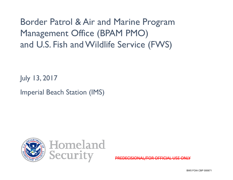Border Patrol & Air and Marine Program Management Office (BPAM PMO) and U.S. Fish and Wildlife Service (FWS)

July 13, 2017

Imperial Beach Station (IMS)



PREDECISIONAL/FOR OFFICIAL USE ONLY

BW5 FOIA CBP 000671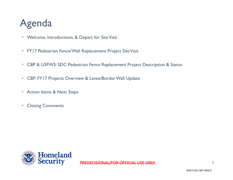# Agenda

- Welcome, Introductions, & Depart for Site Visit
- FY17 Pedestrian Fence/Wall Replacement Project Site Visit
- $\mathbb{R}^n$  . CBP & USFWS: SDC Pedestrian Fence Replacement Project Description & Status
- Π. CBP: FY17 Projects Overview & Levee/Border Wall Update
- $\blacksquare$ Action Items & Next Steps
- $\mathbb{R}^n$ Closing Comments

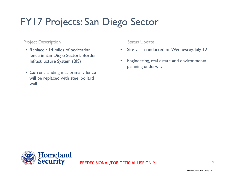# FY17 Projects: San Diego Sector

#### Project Description and Status Update

- Replace ~14 miles of pedestrian fence in San Diego Sector's Border Infrastructure System (BIS)
- Current landing mat primary fence will be replaced with steel bollard wall

- •Site visit conducted on Wednesday, July 12
- $\bullet$  Engineering, real estate and environmental planning underway

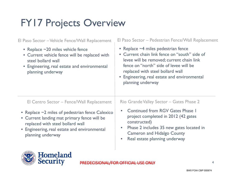### FY17 Projects Overview

El Centro Sector – Fence/Wall Replacement | Rio Grande Valley Sector – Gates Phase 2 • Continued from RGV Gates Phase 1 project completed in 2012 (42 gates constructed) • Phase 2 includes 35 new gates located in Cameron and Hidalgo County • Real estate planning underway • Replace ~2 miles of pedestrian fence Calexico • Current landing mat primary fence will be replaced with steel bollard wall • Engineering, real estate and environmental planning underway • Replace ~4 miles pedestrian fence • Current chain link fence on "south" side of levee will be removed; current chain link fence on "north" side of levee will be replaced with steel bollard wall • Engineering, real estate and environmental planning underway El Paso Sector – Vehicle Fence/Wall Replacement El Paso Sector – Pedestrian Fence/Wall Replacement • Replace ~20 miles vehicle fence • Current vehicle fence will be replaced with steel bollard wall • Engineering, real estate and environmental planning underway